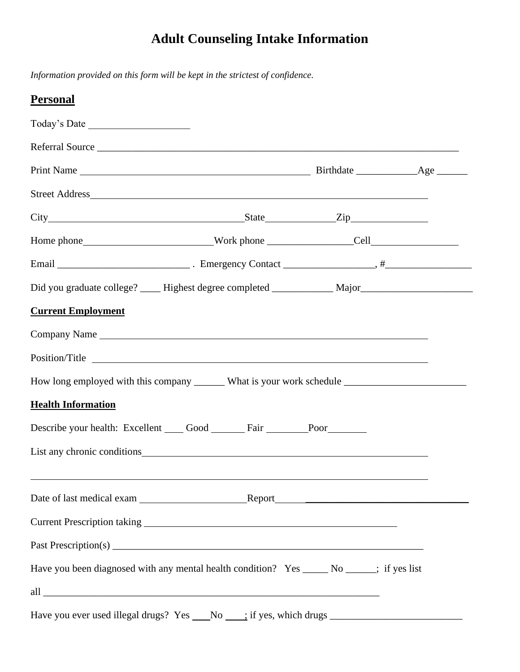# **Adult Counseling Intake Information**

*Information provided on this form will be kept in the strictest of confidence.*

| <b>Personal</b>                                                                                                                                                                                                                |  |  |
|--------------------------------------------------------------------------------------------------------------------------------------------------------------------------------------------------------------------------------|--|--|
| Today's Date                                                                                                                                                                                                                   |  |  |
| Referral Source                                                                                                                                                                                                                |  |  |
|                                                                                                                                                                                                                                |  |  |
|                                                                                                                                                                                                                                |  |  |
|                                                                                                                                                                                                                                |  |  |
|                                                                                                                                                                                                                                |  |  |
|                                                                                                                                                                                                                                |  |  |
| Did you graduate college? _____ Highest degree completed ____________ Major_________________________                                                                                                                           |  |  |
| <b>Current Employment</b>                                                                                                                                                                                                      |  |  |
| Company Name                                                                                                                                                                                                                   |  |  |
|                                                                                                                                                                                                                                |  |  |
|                                                                                                                                                                                                                                |  |  |
| <b>Health Information</b>                                                                                                                                                                                                      |  |  |
| Describe your health: Excellent Good Fair Poor                                                                                                                                                                                 |  |  |
| List any chronic conditions services and the services of the services of the services of the services of the services of the services of the services of the services of the services of the services of the services of the s |  |  |
|                                                                                                                                                                                                                                |  |  |
|                                                                                                                                                                                                                                |  |  |
|                                                                                                                                                                                                                                |  |  |
|                                                                                                                                                                                                                                |  |  |
| Have you been diagnosed with any mental health condition? Yes _______ No ______; if yes list                                                                                                                                   |  |  |
|                                                                                                                                                                                                                                |  |  |
|                                                                                                                                                                                                                                |  |  |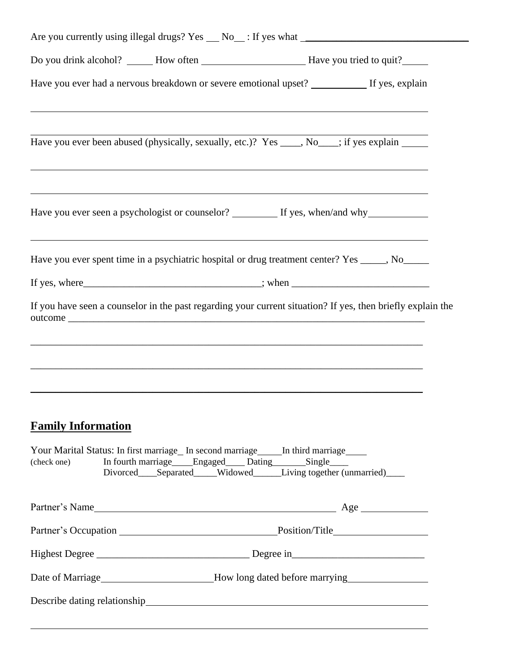| Have you ever had a nervous breakdown or severe emotional upset? __________ If yes, explain<br><u> 1989 - Andrea Andrew Maria (h. 1989).</u>                                                                                            |  |
|-----------------------------------------------------------------------------------------------------------------------------------------------------------------------------------------------------------------------------------------|--|
| Have you ever been abused (physically, sexually, etc.)? Yes ____, No___; if yes explain _____                                                                                                                                           |  |
| <u> 2000 - Andrea Andrewski, američki politik († 20. dubnja 1900)</u><br>Have you ever seen a psychologist or counselor? _________ If yes, when/and why_____________                                                                    |  |
| ,我们也不会有什么。""我们的人,我们也不会有什么?""我们的人,我们也不会有什么?""我们的人,我们也不会有什么?""我们的人,我们也不会有什么?""我们的人<br>Have you ever spent time in a psychiatric hospital or drug treatment center? Yes _____, No_____                                                     |  |
|                                                                                                                                                                                                                                         |  |
| If you have seen a counselor in the past regarding your current situation? If yes, then briefly explain the                                                                                                                             |  |
| <b>Family Information</b><br>Your Marital Status: In first marriage_ In second marriage_____ In third marriage____<br>In fourth marriage Engaged Dating Single<br>(check one)<br>Divorced Separated Widowed Living together (unmarried) |  |
|                                                                                                                                                                                                                                         |  |
|                                                                                                                                                                                                                                         |  |
|                                                                                                                                                                                                                                         |  |
| Date of Marriage<br><u>How long dated before marrying</u>                                                                                                                                                                               |  |
|                                                                                                                                                                                                                                         |  |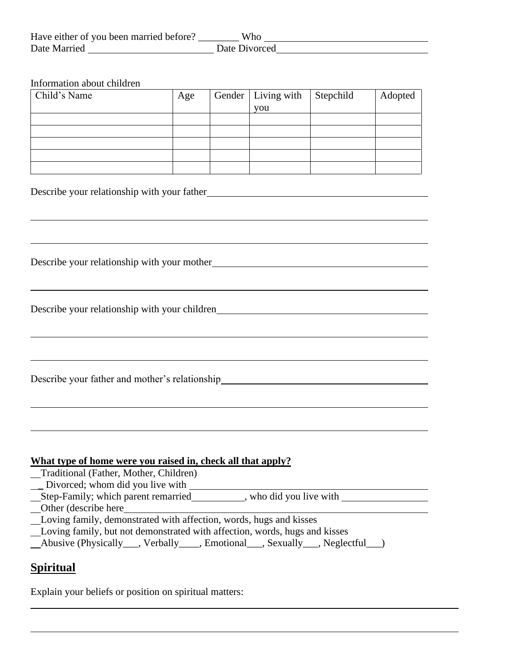| Have either of you been married before? | Who           |
|-----------------------------------------|---------------|
| Date Married                            | Date Divorced |

Information about children

| Child's Name | Age | Gender   Living with | Stepchild | Adopted |
|--------------|-----|----------------------|-----------|---------|
|              |     | you                  |           |         |
|              |     |                      |           |         |
|              |     |                      |           |         |
|              |     |                      |           |         |
|              |     |                      |           |         |
|              |     |                      |           |         |

Describe your relationship with your father

Describe your relationship with your mother

Describe your relationship with your children

Describe your father and mother's relationship<br>
<u>Describe your father and mother's relationship</u>

#### **What type of home were you raised in, check all that apply?**

 Traditional (Father, Mother, Children) \_\_ Divorced; whom did you live with \_\_\_\_\_\_\_\_ Step-Family; which parent remarried , who did you live with Other (describe here Loving family, demonstrated with affection, words, hugs and kisses Loving family, but not demonstrated with affection, words, hugs and kisses Abusive (Physically\_\_\_, Verbally\_\_\_\_, Emotional\_\_\_, Sexually\_\_\_, Neglectful\_\_\_)

### **Spiritual**

Explain your beliefs or position on spiritual matters: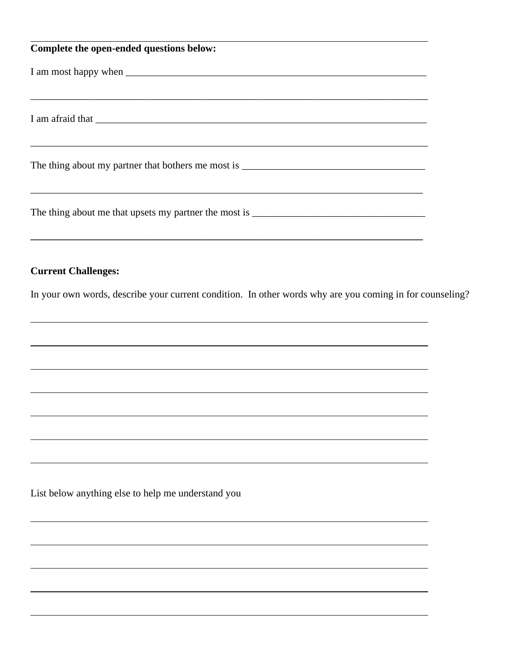| Complete the open-ended questions below:           |
|----------------------------------------------------|
|                                                    |
|                                                    |
|                                                    |
|                                                    |
| The thing about my partner that bothers me most is |
|                                                    |
|                                                    |

#### **Current Challenges:**

In your own words, describe your current condition. In other words why are you coming in for counseling?

**\_\_\_\_\_\_\_\_\_\_\_\_\_\_\_\_\_\_\_\_\_\_\_\_\_\_\_\_\_\_\_\_\_\_\_\_\_\_\_\_\_\_\_\_\_\_\_\_\_\_\_\_\_\_\_\_\_\_\_\_\_\_\_\_\_\_\_\_\_\_\_\_\_\_\_\_\_**

List below anything else to help me understand you